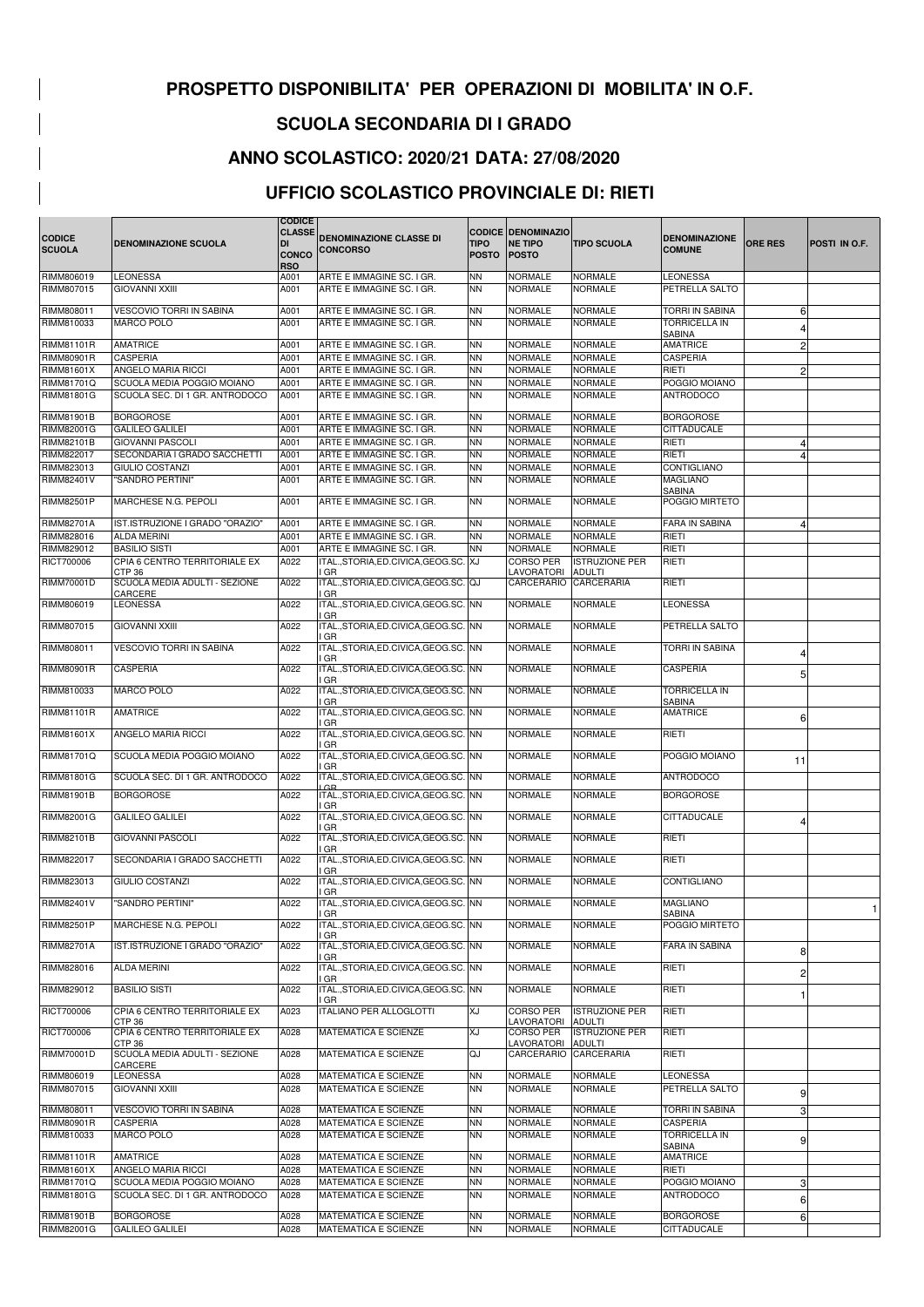|                                |                                                      | <b>CODICE</b>                       |                                                         |                             |                                                             |                                        |                                                          |                |                      |
|--------------------------------|------------------------------------------------------|-------------------------------------|---------------------------------------------------------|-----------------------------|-------------------------------------------------------------|----------------------------------------|----------------------------------------------------------|----------------|----------------------|
| <b>CODICE</b><br><b>SCUOLA</b> | <b>DENOMINAZIONE SCUOLA</b>                          | <b>CLASSE</b><br>DI<br><b>CONCO</b> | <b>DENOMINAZIONE CLASSE DI</b><br><b>CONCORSO</b>       | <b>TIPO</b><br><b>POSTO</b> | <b>CODICE DENOMINAZIO</b><br><b>NE TIPO</b><br><b>POSTO</b> | <b>TIPO SCUOLA</b>                     | <b>IDENOMINAZIONE</b><br><b>COMUNE</b>                   | <b>ORE RES</b> | <b>POSTI IN O.F.</b> |
| RIMM806019                     | <b>LEONESSA</b>                                      | <b>RSO</b><br>A001                  | ARTE E IMMAGINE SC. I GR.                               | <b>NN</b>                   | <b>NORMALE</b>                                              | <b>NORMALE</b>                         | <b>LEONESSA</b>                                          |                |                      |
| RIMM807015                     | <b>GIOVANNI XXIII</b>                                | A001                                | ARTE E IMMAGINE SC. I GR.                               | <b>NN</b>                   | <b>NORMALE</b>                                              | <b>NORMALE</b>                         | <b>PETRELLA SALTO</b>                                    |                |                      |
|                                |                                                      |                                     |                                                         |                             |                                                             |                                        |                                                          |                |                      |
| RIMM808011<br>RIMM810033       | <b>VESCOVIO TORRI IN SABINA</b><br><b>MARCO POLO</b> | A001<br>A001                        | ARTE E IMMAGINE SC. I GR.<br>ARTE E IMMAGINE SC. I GR.  | <b>NN</b><br>NN.            | <b>NORMALE</b><br><b>NORMALE</b>                            | <b>NORMALE</b><br><b>NORMALE</b>       | TORRI IN SABINA<br><b>TORRICELLA IN</b><br><b>SABINA</b> | $6 \mid$       |                      |
| RIMM81101R                     | <b>AMATRICE</b>                                      | A001                                | ARTE E IMMAGINE SC. I GR.                               | <b>NN</b>                   | <b>NORMALE</b>                                              | <b>NORMALE</b>                         | <b>AMATRICE</b>                                          | $\overline{2}$ |                      |
| RIMM80901R                     | <b>CASPERIA</b>                                      | A001                                | ARTE E IMMAGINE SC. I GR.                               | <b>NN</b>                   | <b>NORMALE</b>                                              | <b>NORMALE</b>                         | <b>CASPERIA</b>                                          |                |                      |
| RIMM81601X                     | <b>ANGELO MARIA RICCI</b>                            | A001                                | ARTE E IMMAGINE SC. I GR.                               | <b>NN</b>                   | <b>NORMALE</b>                                              | <b>NORMALE</b>                         | RIETI                                                    | $\mathbf{2}$   |                      |
| RIMM81701Q                     | SCUOLA MEDIA POGGIO MOIANO                           | A001                                | ARTE E IMMAGINE SC. I GR.                               | <b>NN</b>                   | <b>NORMALE</b>                                              | <b>NORMALE</b>                         | POGGIO MOIANO                                            |                |                      |
| RIMM81801G                     | SCUOLA SEC. DI 1 GR. ANTRODOCO                       | A001                                | ARTE E IMMAGINE SC. I GR.                               | <b>NN</b>                   | <b>NORMALE</b>                                              | <b>NORMALE</b>                         | <b>ANTRODOCO</b>                                         |                |                      |
| RIMM81901B                     | <b>BORGOROSE</b>                                     | A001                                | ARTE E IMMAGINE SC. I GR.                               | <b>NN</b>                   | <b>NORMALE</b>                                              | <b>NORMALE</b>                         | <b>BORGOROSE</b>                                         |                |                      |
| RIMM82001G                     | <b>GALILEO GALILEI</b>                               | A001                                | ARTE E IMMAGINE SC. I GR.                               | <b>NN</b>                   | <b>NORMALE</b>                                              | <b>NORMALE</b>                         | <b>CITTADUCALE</b>                                       |                |                      |
| RIMM82101B                     | <b>GIOVANNI PASCOLI</b>                              | A001                                | ARTE E IMMAGINE SC. I GR.                               | <b>NN</b>                   | <b>NORMALE</b>                                              | <b>NORMALE</b>                         | <b>RIETI</b>                                             | 4              |                      |
| RIMM822017                     | SECONDARIA I GRADO SACCHETTI                         | A001                                | ARTE E IMMAGINE SC. I GR.                               | <b>NN</b>                   | <b>NORMALE</b>                                              | <b>NORMALE</b>                         | RIETI                                                    | 4              |                      |
| RIMM823013                     | <b>GIULIO COSTANZI</b>                               | A001                                | ARTE E IMMAGINE SC. I GR.                               | NN.                         | <b>NORMALE</b>                                              | <b>NORMALE</b>                         | <b>CONTIGLIANO</b>                                       |                |                      |
| RIMM82401V                     | "SANDRO PERTINI"                                     | A001                                | ARTE E IMMAGINE SC. I GR.                               | <b>NN</b>                   | <b>NORMALE</b>                                              | <b>NORMALE</b>                         | <b>MAGLIANO</b>                                          |                |                      |
| RIMM82501P                     | MARCHESE N.G. PEPOLI                                 | A001                                | ARTE E IMMAGINE SC. I GR.                               | <b>NN</b>                   | <b>NORMALE</b>                                              | <b>NORMALE</b>                         | <b>SABINA</b><br><b>POGGIO MIRTETO</b>                   |                |                      |
| RIMM82701A                     | IST.ISTRUZIONE I GRADO "ORAZIO"                      | A001                                | ARTE E IMMAGINE SC. I GR.                               | NN.                         | <b>NORMALE</b>                                              | <b>NORMALE</b>                         | <b>FARA IN SABINA</b>                                    |                |                      |
| RIMM828016                     | <b>ALDA MERINI</b>                                   | A001                                | ARTE E IMMAGINE SC. I GR.                               | NN.                         | <b>NORMALE</b>                                              | <b>NORMALE</b>                         | RIETI                                                    |                |                      |
| RIMM829012                     | <b>BASILIO SISTI</b>                                 | A001                                | ARTE E IMMAGINE SC. I GR.                               | <b>NN</b>                   | <b>NORMALE</b>                                              | <b>NORMALE</b>                         | RIETI                                                    |                |                      |
| RICT700006                     | CPIA 6 CENTRO TERRITORIALE EX                        | A022                                | ITAL., STORIA, ED. CIVICA, GEOG. SC. XJ                 |                             | <b>CORSO PER</b>                                            | <b>ISTRUZIONE PER</b>                  | RIETI                                                    |                |                      |
|                                | CTP <sub>36</sub>                                    |                                     | I GR                                                    |                             | LAVORATORI                                                  | <b>ADULTI</b>                          |                                                          |                |                      |
| <b>RIMM70001D</b>              | SCUOLA MEDIA ADULTI - SEZIONE<br>CARCERE             | A022                                | ITAL., STORIA, ED. CIVICA, GEOG. SC. QJ<br>I GR         |                             | <b>CARCERARIO</b>                                           | CARCERARIA                             | RIETI                                                    |                |                      |
| RIMM806019                     | <b>LEONESSA</b>                                      | A022                                | ITAL., STORIA, ED. CIVICA, GEOG. SC. NN<br>I GR         |                             | <b>NORMALE</b>                                              | <b>NORMALE</b>                         | <b>LEONESSA</b>                                          |                |                      |
| RIMM807015                     | <b>GIOVANNI XXIII</b>                                | A022                                | ITAL., STORIA, ED. CIVICA, GEOG. SC. NN<br>I GR         |                             | <b>NORMALE</b>                                              | <b>NORMALE</b>                         | <b>PETRELLA SALTO</b>                                    |                |                      |
| RIMM808011                     | <b>VESCOVIO TORRI IN SABINA</b>                      | A022                                | ITAL., STORIA, ED. CIVICA, GEOG. SC. NN<br>I GR         |                             | <b>NORMALE</b>                                              | <b>NORMALE</b>                         | TORRI IN SABINA                                          |                |                      |
| RIMM80901R                     | <b>CASPERIA</b>                                      | A022                                | ITAL., STORIA, ED. CIVICA, GEOG. SC. NN                 |                             | <b>NORMALE</b>                                              | <b>NORMALE</b>                         | <b>CASPERIA</b>                                          | 5 <sup>1</sup> |                      |
| RIMM810033                     | <b>MARCO POLO</b>                                    | A022                                | I GR<br>ITAL., STORIA, ED. CIVICA, GEOG. SC. NN         |                             | <b>NORMALE</b>                                              | <b>NORMALE</b>                         | <b>TORRICELLA IN</b>                                     |                |                      |
| RIMM81101R                     | AMATRICE                                             | A022                                | I GR<br>ITAL., STORIA, ED. CIVICA, GEOG. SC. NN         |                             | <b>NORMALE</b>                                              | <b>NORMALE</b>                         | <b>SABINA</b><br><b>AMATRICE</b>                         | 6 <sup>1</sup> |                      |
| RIMM81601X                     | <b>ANGELO MARIA RICCI</b>                            | A022                                | I GR<br>ITAL., STORIA, ED. CIVICA, GEOG. SC. NN<br>I GR |                             | <b>NORMALE</b>                                              | <b>NORMALE</b>                         | RIETI                                                    |                |                      |
| RIMM81701Q                     | SCUOLA MEDIA POGGIO MOIANO                           | A022                                | ITAL., STORIA, ED. CIVICA, GEOG. SC. NN                 |                             | <b>NORMALE</b>                                              | <b>NORMALE</b>                         | POGGIO MOIANO                                            | 11             |                      |
| RIMM81801G                     | SCUOLA SEC. DI 1 GR. ANTRODOCO                       | A022                                | I GR<br>ITAL., STORIA, ED. CIVICA, GEOG. SC. NN         |                             | <b>NORMALE</b>                                              | <b>NORMALE</b>                         | <b>ANTRODOCO</b>                                         |                |                      |
| RIMM81901B                     | <b>BORGOROSE</b>                                     | A022                                | ITAL., STORIA, ED. CIVICA, GEOG. SC. NN                 |                             | <b>NORMALE</b>                                              | <b>NORMALE</b>                         | <b>BORGOROSE</b>                                         |                |                      |
| RIMM82001G                     | <b>GALILEO GALILEI</b>                               | A022                                | I GR<br>ITAL., STORIA, ED. CIVICA, GEOG. SC. NN         |                             | <b>NORMALE</b>                                              | <b>NORMALE</b>                         | <b>CITTADUCALE</b>                                       |                |                      |
| RIMM82101B                     | <b>GIOVANNI PASCOLI</b>                              | A022                                | I GR<br>ITAL., STORIA, ED. CIVICA, GEOG. SC. NN         |                             | <b>NORMALE</b>                                              | <b>NORMALE</b>                         | RIETI                                                    |                |                      |
| RIMM822017                     | SECONDARIA I GRADO SACCHETTI                         | A022                                | I GR<br>ITAL., STORIA, ED. CIVICA, GEOG. SC. NN         |                             | <b>NORMALE</b>                                              | <b>NORMALE</b>                         | RIETI                                                    |                |                      |
|                                |                                                      |                                     | I GR                                                    |                             |                                                             |                                        |                                                          |                |                      |
| RIMM823013                     | <b>GIULIO COSTANZI</b>                               | A022                                | ITAL., STORIA, ED. CIVICA, GEOG. SC. NN<br>I GR         |                             | <b>NORMALE</b>                                              | <b>NORMALE</b>                         | CONTIGLIANO                                              |                |                      |
| RIMM82401V                     | "SANDRO PERTINI"                                     | A022                                | ITAL., STORIA, ED. CIVICA, GEOG. SC. NN<br>I GR         |                             | <b>NORMALE</b>                                              | <b>NORMALE</b>                         | <b>MAGLIANO</b><br><b>SABINA</b>                         |                |                      |
| RIMM82501P                     | MARCHESE N.G. PEPOLI                                 | A022                                | ITAL., STORIA, ED. CIVICA, GEOG. SC. NN<br>I GR         |                             | <b>NORMALE</b>                                              | <b>NORMALE</b>                         | POGGIO MIRTETO                                           |                |                      |
| <b>RIMM82701A</b>              | IST.ISTRUZIONE I GRADO "ORAZIO"                      | A022                                | ITAL., STORIA, ED. CIVICA, GEOG. SC. NN<br>I GR         |                             | <b>NORMALE</b>                                              | <b>NORMALE</b>                         | <b>FARA IN SABINA</b>                                    | 8              |                      |
| RIMM828016                     | <b>ALDA MERINI</b>                                   | A022                                | ITAL., STORIA, ED. CIVICA, GEOG. SC. NN<br>I GR         |                             | <b>NORMALE</b>                                              | <b>NORMALE</b>                         | RIETI                                                    | $\mathbf{2}$   |                      |
| RIMM829012                     | <b>BASILIO SISTI</b>                                 | A022                                | ITAL., STORIA, ED. CIVICA, GEOG. SC. NN<br>I GR         |                             | <b>NORMALE</b>                                              | <b>NORMALE</b>                         | RIETI                                                    |                |                      |
| RICT700006                     | CPIA 6 CENTRO TERRITORIALE EX<br>CTP 36              | A023                                | <b>ITALIANO PER ALLOGLOTTI</b>                          | ΧJ                          | CORSO PER<br>LAVORATORI                                     | <b>ISTRUZIONE PER</b><br><b>ADULTI</b> | RIETI                                                    |                |                      |
| RICT700006                     | CPIA 6 CENTRO TERRITORIALE EX                        | A028                                | <b>MATEMATICA E SCIENZE</b>                             | XJ                          | <b>CORSO PER</b>                                            | <b>ISTRUZIONE PER</b>                  | RIETI                                                    |                |                      |
| <b>RIMM70001D</b>              | CTP <sub>36</sub><br>SCUOLA MEDIA ADULTI - SEZIONE   | A028                                | <b>MATEMATICA E SCIENZE</b>                             | QJ                          | LAVORATORI<br>CARCERARIO                                    | <b>ADULTI</b><br><b>CARCERARIA</b>     | RIETI                                                    |                |                      |
| RIMM806019                     | CARCERE<br><b>LEONESSA</b>                           | A028                                | <b>MATEMATICA E SCIENZE</b>                             | ΝN                          | <b>NORMALE</b>                                              | <b>NORMALE</b>                         | <b>LEONESSA</b>                                          |                |                      |
| RIMM807015                     | <b>GIOVANNI XXIII</b>                                | A028                                | MATEMATICA E SCIENZE                                    | <b>NN</b>                   | <b>NORMALE</b>                                              | <b>NORMALE</b>                         | PETRELLA SALTO                                           | 9              |                      |
| RIMM808011                     | VESCOVIO TORRI IN SABINA                             | A028                                | <b>MATEMATICA E SCIENZE</b>                             | ΝN                          | <b>NORMALE</b>                                              | <b>NORMALE</b>                         | TORRI IN SABINA                                          | 3 <sup>1</sup> |                      |
| RIMM80901R<br>RIMM810033       | <b>CASPERIA</b><br><b>MARCO POLO</b>                 | A028<br>A028                        | <b>MATEMATICA E SCIENZE</b><br>MATEMATICA E SCIENZE     | <b>NN</b><br>ΝN             | <b>NORMALE</b><br><b>NORMALE</b>                            | <b>NORMALE</b><br><b>NORMALE</b>       | <b>CASPERIA</b><br><b>TORRICELLA IN</b>                  | 9              |                      |
| <b>RIMM81101R</b>              | <b>AMATRICE</b>                                      |                                     | <b>MATEMATICA E SCIENZE</b>                             | <b>NN</b>                   |                                                             | <b>NORMALE</b>                         | <b>SABINA</b><br><b>AMATRICE</b>                         |                |                      |
| RIMM81601X                     | <b>ANGELO MARIA RICCI</b>                            | A028<br>A028                        | MATEMATICA E SCIENZE                                    | <b>NN</b>                   | <b>NORMALE</b><br><b>NORMALE</b>                            | <b>NORMALE</b>                         | RIETI                                                    |                |                      |
| RIMM81701Q                     | SCUOLA MEDIA POGGIO MOIANO                           | A028                                | MATEMATICA E SCIENZE                                    | <b>NN</b>                   | <b>NORMALE</b>                                              | <b>NORMALE</b>                         | POGGIO MOIANO                                            | 3 <sup>1</sup> |                      |
| RIMM81801G                     | SCUOLA SEC. DI 1 GR. ANTRODOCO                       | A028                                | MATEMATICA E SCIENZE                                    | <b>NN</b>                   | <b>NORMALE</b>                                              | <b>NORMALE</b>                         | <b>ANTRODOCO</b>                                         | $6 \mid$       |                      |
| RIMM81901B                     | <b>BORGOROSE</b>                                     | A028                                | <b>MATEMATICA E SCIENZE</b>                             | <b>NN</b>                   | <b>NORMALE</b>                                              | <b>NORMALE</b>                         | <b>BORGOROSE</b>                                         | 6              |                      |
| RIMM82001G                     | <b>GALILEO GALILEI</b>                               | A028                                | <b>MATEMATICA E SCIENZE</b>                             | $\overline{\mathsf{NN}}$    | <b>NORMALE</b>                                              | <b>NORMALE</b>                         | <b>CITTADUCALE</b>                                       |                |                      |

## **PROSPETTO DISPONIBILITA' PER OPERAZIONI DI MOBILITA' IN O.F.**

## **SCUOLA SECONDARIA DI I GRADO**

## **ANNO SCOLASTICO: 2020/21 DATA: 27/08/2020**

## **UFFICIO SCOLASTICO PROVINCIALE DI: RIETI**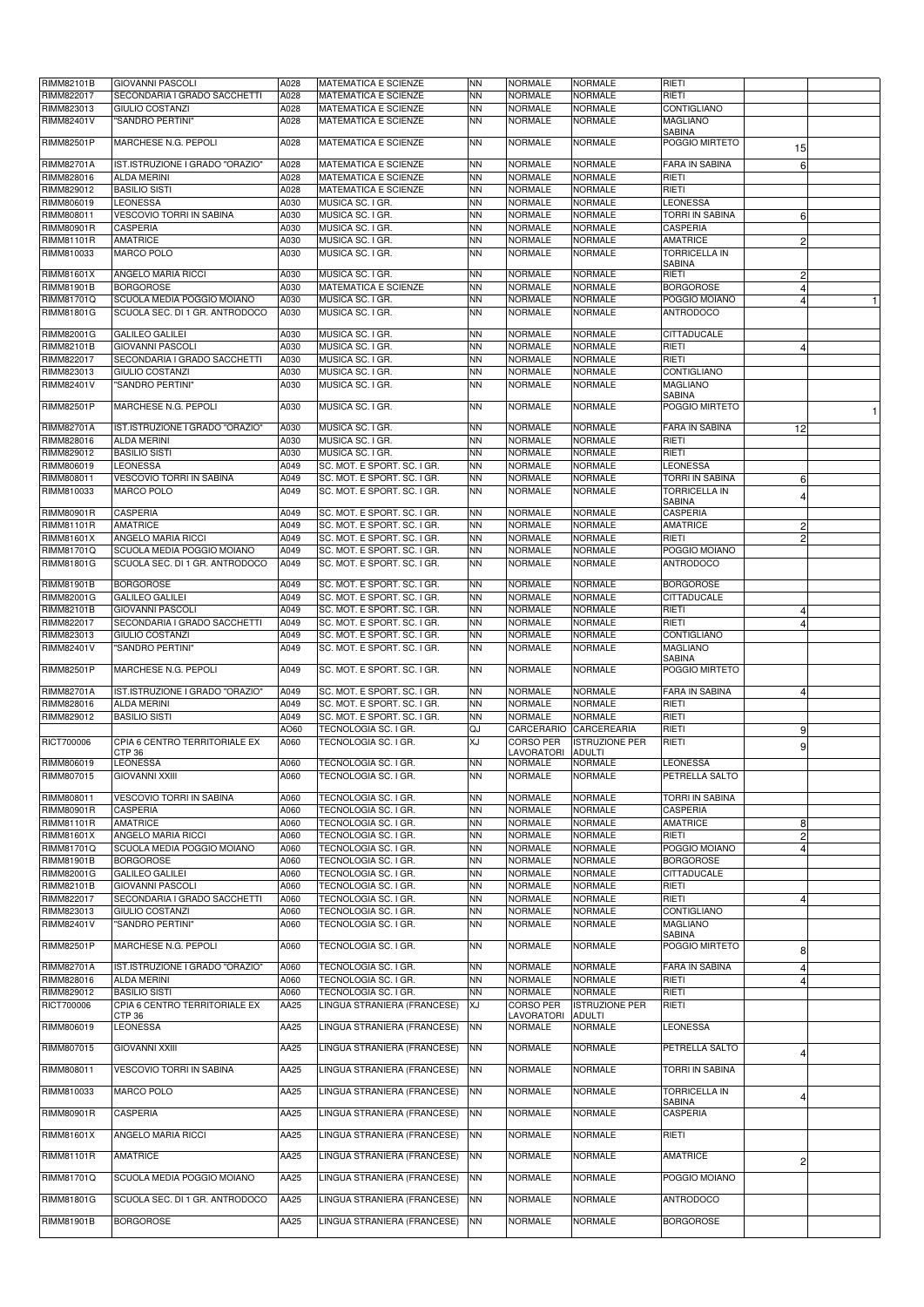| RIMM82101B        | <b>GIOVANNI PASCOLI</b>         | A028        | <b>MATEMATICA E SCIENZE</b> | <b>NN</b> | <b>NORMALE</b> | <b>NORMALE</b>        | RIETI                                 |                |  |
|-------------------|---------------------------------|-------------|-----------------------------|-----------|----------------|-----------------------|---------------------------------------|----------------|--|
| RIMM822017        | SECONDARIA I GRADO SACCHETTI    | A028        | <b>MATEMATICA E SCIENZE</b> | <b>NN</b> | <b>NORMALE</b> | <b>NORMALE</b>        | RIETI                                 |                |  |
| RIMM823013        | <b>GIULIO COSTANZI</b>          | A028        | <b>MATEMATICA E SCIENZE</b> | <b>NN</b> | <b>NORMALE</b> | <b>NORMALE</b>        | CONTIGLIANO                           |                |  |
| RIMM82401V        | "SANDRO PERTINI"                | A028        | <b>MATEMATICA E SCIENZE</b> | <b>NN</b> | <b>NORMALE</b> | <b>NORMALE</b>        | <b>MAGLIANO</b>                       |                |  |
|                   |                                 |             |                             |           |                |                       | <b>SABINA</b>                         |                |  |
| RIMM82501P        | MARCHESE N.G. PEPOLI            | A028        | <b>MATEMATICA E SCIENZE</b> | <b>NN</b> | <b>NORMALE</b> | <b>NORMALE</b>        | POGGIO MIRTETO                        | 15             |  |
|                   |                                 |             |                             |           |                |                       |                                       |                |  |
| <b>RIMM82701A</b> | IST.ISTRUZIONE I GRADO "ORAZIO" | A028        | <b>MATEMATICA E SCIENZE</b> | ΝN        | <b>NORMALE</b> | <b>NORMALE</b>        | <b>FARA IN SABINA</b>                 | 6              |  |
| RIMM828016        | <b>ALDA MERINI</b>              | A028        | <b>MATEMATICA E SCIENZE</b> | ΝN        | <b>NORMALE</b> | <b>NORMALE</b>        | RIETI                                 |                |  |
| RIMM829012        | <b>BASILIO SISTI</b>            | A028        | <b>MATEMATICA E SCIENZE</b> | ΝN        | <b>NORMALE</b> | <b>NORMALE</b>        | RIETI                                 |                |  |
| RIMM806019        | <b>LEONESSA</b>                 | A030        | MUSICA SC. I GR.            | ΝN        | <b>NORMALE</b> | <b>NORMALE</b>        | <b>LEONESSA</b>                       |                |  |
| RIMM808011        | <b>VESCOVIO TORRI IN SABINA</b> | A030        | MUSICA SC. I GR.            | ΝN        | <b>NORMALE</b> | <b>NORMALE</b>        | <b>TORRI IN SABINA</b>                | 61             |  |
| RIMM80901R        | <b>CASPERIA</b>                 | A030        | MUSICA SC. I GR.            | <b>NN</b> | <b>NORMALE</b> | <b>NORMALE</b>        | <b>CASPERIA</b>                       |                |  |
| RIMM81101R        | <b>AMATRICE</b>                 | A030        | MUSICA SC. I GR.            | <b>NN</b> | <b>NORMALE</b> | <b>NORMALE</b>        | <b>AMATRICE</b>                       | $\overline{c}$ |  |
| RIMM810033        |                                 |             |                             |           |                |                       |                                       |                |  |
|                   | <b>MARCO POLO</b>               | A030        | MUSICA SC. I GR.            | <b>NN</b> | <b>NORMALE</b> | <b>NORMALE</b>        | <b>TORRICELLA IN</b><br><b>SABINA</b> |                |  |
| RIMM81601X        | ANGELO MARIA RICCI              | A030        | MUSICA SC. I GR.            | <b>NN</b> | <b>NORMALE</b> | <b>NORMALE</b>        | RIETI                                 | 2              |  |
|                   |                                 |             |                             |           |                |                       |                                       |                |  |
| RIMM81901B        | <b>BORGOROSE</b>                | A030        | MATEMATICA E SCIENZE        | ΝN        | <b>NORMALE</b> | <b>NORMALE</b>        | <b>BORGOROSE</b>                      | 4              |  |
| RIMM81701Q        | SCUOLA MEDIA POGGIO MOIANO      | A030        | MUSICA SC. I GR.            | <b>NN</b> | <b>NORMALE</b> | <b>NORMALE</b>        | POGGIO MOIANO                         | 4              |  |
| <b>RIMM81801G</b> | SCUOLA SEC. DI 1 GR. ANTRODOCO  | A030        | MUSICA SC. I GR.            | <b>NN</b> | <b>NORMALE</b> | <b>NORMALE</b>        | <b>ANTRODOCO</b>                      |                |  |
|                   |                                 |             |                             |           |                |                       |                                       |                |  |
| RIMM82001G        | <b>GALILEO GALILEI</b>          | A030        | MUSICA SC. I GR.            | ΝN        | <b>NORMALE</b> | <b>NORMALE</b>        | <b>CITTADUCALE</b>                    |                |  |
| RIMM82101B        | <b>GIOVANNI PASCOLI</b>         | A030        | MUSICA SC. I GR.            | <b>NN</b> | <b>NORMALE</b> | <b>NORMALE</b>        | RIETI                                 |                |  |
| RIMM822017        | SECONDARIA I GRADO SACCHETTI    | A030        | MUSICA SC. I GR.            | <b>NN</b> | <b>NORMALE</b> | <b>NORMALE</b>        | RIETI                                 |                |  |
| RIMM823013        | <b>GIULIO COSTANZI</b>          | A030        | MUSICA SC. I GR.            | <b>NN</b> | <b>NORMALE</b> | <b>NORMALE</b>        | CONTIGLIANO                           |                |  |
| <b>RIMM82401V</b> | "SANDRO PERTINI"                | A030        | MUSICA SC. I GR.            | <b>NN</b> | <b>NORMALE</b> | <b>NORMALE</b>        | <b>MAGLIANO</b>                       |                |  |
|                   |                                 |             |                             |           |                |                       | <b>SABINA</b>                         |                |  |
| <b>RIMM82501P</b> | MARCHESE N.G. PEPOLI            | A030        | MUSICA SC. I GR.            | <b>NN</b> | <b>NORMALE</b> | <b>NORMALE</b>        | POGGIO MIRTETO                        |                |  |
|                   |                                 |             |                             |           |                |                       |                                       |                |  |
| RIMM82701A        | IST.ISTRUZIONE I GRADO "ORAZIO" | A030        | MUSICA SC. I GR.            | ΝN        | <b>NORMALE</b> | <b>NORMALE</b>        | <b>FARA IN SABINA</b>                 | 12             |  |
| RIMM828016        | <b>ALDA MERINI</b>              | A030        | MUSICA SC. I GR.            | ΝN        | <b>NORMALE</b> | <b>NORMALE</b>        | RIETI                                 |                |  |
| RIMM829012        | <b>BASILIO SISTI</b>            | A030        | MUSICA SC. I GR.            | ΝN        | <b>NORMALE</b> | <b>NORMALE</b>        | RIETI                                 |                |  |
| RIMM806019        | <b>LEONESSA</b>                 | A049        | SC. MOT. E SPORT. SC. I GR. | <b>NN</b> | <b>NORMALE</b> | <b>NORMALE</b>        | <b>LEONESSA</b>                       |                |  |
| RIMM808011        | <b>VESCOVIO TORRI IN SABINA</b> | A049        | SC. MOT. E SPORT. SC. I GR. | ΝN        | <b>NORMALE</b> | <b>NORMALE</b>        | <b>TORRI IN SABINA</b>                | $6 \mid$       |  |
| RIMM810033        | <b>MARCO POLO</b>               | A049        | SC. MOT. E SPORT. SC. I GR. | <b>NN</b> | <b>NORMALE</b> | <b>NORMALE</b>        | <b>TORRICELLA IN</b>                  |                |  |
|                   |                                 |             |                             |           |                |                       | <b>SABINA</b>                         | 4              |  |
| RIMM80901R        | <b>CASPERIA</b>                 | A049        | SC. MOT. E SPORT. SC. I GR. | ΝN        | <b>NORMALE</b> | <b>NORMALE</b>        | <b>CASPERIA</b>                       |                |  |
| RIMM81101R        | <b>AMATRICE</b>                 | A049        | SC. MOT. E SPORT. SC. I GR. | ΝN        | <b>NORMALE</b> | <b>NORMALE</b>        | <b>AMATRICE</b>                       | $\mathbf{2}$   |  |
| RIMM81601X        | <b>ANGELO MARIA RICCI</b>       | A049        | SC. MOT. E SPORT. SC. I GR. | <b>NN</b> | <b>NORMALE</b> | <b>NORMALE</b>        | RIETI                                 | $\overline{2}$ |  |
|                   |                                 |             | SC. MOT. E SPORT. SC. I GR. |           |                |                       |                                       |                |  |
| RIMM81701Q        | SCUOLA MEDIA POGGIO MOIANO      | A049        |                             | ΝN        | <b>NORMALE</b> | <b>NORMALE</b>        | POGGIO MOIANO                         |                |  |
| RIMM81801G        | SCUOLA SEC. DI 1 GR. ANTRODOCO  | A049        | SC. MOT. E SPORT. SC. I GR. | <b>NN</b> | <b>NORMALE</b> | NORMALE               | <b>ANTRODOCO</b>                      |                |  |
| RIMM81901B        | <b>BORGOROSE</b>                | A049        | SC. MOT. E SPORT. SC. I GR. | <b>NN</b> | <b>NORMALE</b> | <b>NORMALE</b>        | <b>BORGOROSE</b>                      |                |  |
|                   |                                 |             |                             |           |                |                       |                                       |                |  |
| RIMM82001G        | <b>GALILEO GALILEI</b>          | A049        | SC. MOT. E SPORT. SC. I GR. | <b>NN</b> | <b>NORMALE</b> | <b>NORMALE</b>        | <b>CITTADUCALE</b>                    |                |  |
| RIMM82101B        | <b>GIOVANNI PASCOLI</b>         | A049        | SC. MOT. E SPORT. SC. I GR. | <b>NN</b> | <b>NORMALE</b> | <b>NORMALE</b>        | RIETI                                 | 4              |  |
| RIMM822017        | SECONDARIA I GRADO SACCHETTI    | A049        | SC. MOT. E SPORT. SC. I GR. | <b>NN</b> | <b>NORMALE</b> | <b>NORMALE</b>        | RIETI                                 | 4              |  |
| RIMM823013        | <b>GIULIO COSTANZI</b>          | A049        | SC. MOT. E SPORT. SC. I GR. | <b>NN</b> | <b>NORMALE</b> | <b>NORMALE</b>        | <b>CONTIGLIANO</b>                    |                |  |
| RIMM82401V        | "SANDRO PERTINI"                | A049        | SC. MOT. E SPORT. SC. I GR. | <b>NN</b> | <b>NORMALE</b> | <b>NORMALE</b>        | <b>MAGLIANO</b>                       |                |  |
|                   |                                 |             |                             |           |                |                       | <b>SABINA</b>                         |                |  |
| <b>RIMM82501P</b> | MARCHESE N.G. PEPOLI            | A049        | SC. MOT. E SPORT. SC. I GR. | <b>NN</b> | <b>NORMALE</b> | <b>NORMALE</b>        | POGGIO MIRTETO                        |                |  |
|                   |                                 |             |                             |           |                |                       |                                       |                |  |
| RIMM82701A        | IST.ISTRUZIONE I GRADO "ORAZIO" | A049        | SC. MOT. E SPORT. SC. I GR. | <b>NN</b> | <b>NORMALE</b> | <b>NORMALE</b>        | <b>FARA IN SABINA</b>                 | 4              |  |
| RIMM828016        | <b>ALDA MERINI</b>              | A049        | SC. MOT. E SPORT. SC. I GR. | ΝN        | <b>NORMALE</b> | <b>NORMALE</b>        | RIETI                                 |                |  |
| RIMM829012        | <b>BASILIO SISTI</b>            | A049        | SC. MOT. E SPORT. SC. I GR. | <b>NN</b> | <b>NORMALE</b> | <b>NORMALE</b>        | RIETI                                 |                |  |
|                   |                                 | AO60        | TECNOLOGIA SC. I GR.        | QJ        | CARCERARIO     | CARCEREARIA           | RIETI                                 | 9              |  |
| RICT700006        | CPIA 6 CENTRO TERRITORIALE EX   | A060        | TECNOLOGIA SC. I GR.        | XJ        | CORSO PER      | <b>ISTRUZIONE PER</b> | RIETI                                 | 9              |  |
|                   | <b>CTP 36</b>                   |             |                             |           | LAVORATORI     | <b>ADULTI</b>         |                                       |                |  |
| RIMM806019        | <b>LEONESSA</b>                 | A060        | TECNOLOGIA SC. I GR.        | ΝN        | <b>NORMALE</b> | <b>NORMALE</b>        | <b>LEONESSA</b>                       |                |  |
| RIMM807015        | <b>GIOVANNI XXIII</b>           | A060        | TECNOLOGIA SC. I GR.        | <b>NN</b> | <b>NORMALE</b> | <b>NORMALE</b>        | PETRELLA SALTO                        |                |  |
|                   |                                 |             |                             |           |                |                       |                                       |                |  |
| RIMM808011        | <b>VESCOVIO TORRI IN SABINA</b> | A060        | TECNOLOGIA SC. I GR.        | <b>NN</b> | <b>NORMALE</b> | <b>NORMALE</b>        | TORRI IN SABINA                       |                |  |
| RIMM80901R        |                                 |             |                             |           |                |                       |                                       |                |  |
| RIMM81101R        | <b>CASPERIA</b>                 | A060        | TECNOLOGIA SC. I GR.        | <b>NN</b> | <b>NORMALE</b> | <b>NORMALE</b>        | <b>CASPERIA</b>                       |                |  |
|                   | <b>AMATRICE</b>                 | A060        | TECNOLOGIA SC. I GR.        | ΝN        | <b>NORMALE</b> | <b>NORMALE</b>        | <b>AMATRICE</b>                       |                |  |
| RIMM81601X        | <b>ANGELO MARIA RICCI</b>       | A060        | TECNOLOGIA SC. I GR.        | ΝN        | <b>NORMALE</b> | <b>NORMALE</b>        | RIETI                                 | 8              |  |
|                   |                                 |             |                             |           |                |                       |                                       | $\overline{2}$ |  |
| RIMM81701Q        | SCUOLA MEDIA POGGIO MOIANO      | A060        | TECNOLOGIA SC. I GR.        | <b>NN</b> | <b>NORMALE</b> | <b>NORMALE</b>        | POGGIO MOIANO                         | 4              |  |
| RIMM81901B        | <b>BORGOROSE</b>                | A060        | TECNOLOGIA SC. I GR.        | ΝN        | <b>NORMALE</b> | <b>NORMALE</b>        | <b>BORGOROSE</b>                      |                |  |
| RIMM82001G        | <b>GALILEO GALILEI</b>          | A060        | TECNOLOGIA SC. I GR.        | ΝN        | <b>NORMALE</b> | <b>NORMALE</b>        | <b>CITTADUCALE</b>                    |                |  |
| RIMM82101B        | <b>GIOVANNI PASCOLI</b>         | A060        | TECNOLOGIA SC. I GR.        | <b>NN</b> | <b>NORMALE</b> | <b>NORMALE</b>        | RIETI                                 |                |  |
| RIMM822017        | SECONDARIA I GRADO SACCHETTI    | A060        | TECNOLOGIA SC. I GR.        | <b>NN</b> | <b>NORMALE</b> | <b>NORMALE</b>        | RIETI                                 | 4              |  |
| RIMM823013        | <b>GIULIO COSTANZI</b>          | A060        | TECNOLOGIA SC. I GR.        | <b>NN</b> | <b>NORMALE</b> | <b>NORMALE</b>        | CONTIGLIANO                           |                |  |
| RIMM82401V        | "SANDRO PERTINI"                | A060        | TECNOLOGIA SC. I GR.        | <b>NN</b> | <b>NORMALE</b> | <b>NORMALE</b>        | <b>MAGLIANO</b>                       |                |  |
|                   |                                 |             |                             |           |                |                       | <b>SABINA</b>                         |                |  |
| <b>RIMM82501P</b> | MARCHESE N.G. PEPOLI            | A060        | TECNOLOGIA SC. I GR.        | <b>NN</b> | <b>NORMALE</b> | <b>NORMALE</b>        | POGGIO MIRTETO                        | 8              |  |
|                   |                                 |             |                             |           |                |                       |                                       |                |  |
| <b>RIMM82701A</b> | IST.ISTRUZIONE I GRADO "ORAZIO" | A060        | <b>TECNOLOGIA SC. I GR.</b> | ΝN        | <b>NORMALE</b> | <b>NORMALE</b>        | <b>FARA IN SABINA</b>                 | 4              |  |
| RIMM828016        | <b>ALDA MERINI</b>              | A060        | TECNOLOGIA SC. I GR.        | <b>NN</b> | <b>NORMALE</b> | <b>NORMALE</b>        | <b>RIETI</b>                          | 4              |  |
| RIMM829012        | <b>BASILIO SISTI</b>            | A060        | TECNOLOGIA SC. I GR.        | <b>NN</b> | <b>NORMALE</b> | <b>NORMALE</b>        | RIETI                                 |                |  |
| RICT700006        | CPIA 6 CENTRO TERRITORIALE EX   | AA25        | LINGUA STRANIERA (FRANCESE) | XJ        | CORSO PER      | <b>ISTRUZIONE PER</b> | RIETI                                 |                |  |
|                   | <b>CTP 36</b>                   |             |                             |           | LAVORATORI     | <b>ADULTI</b>         |                                       |                |  |
| RIMM806019        | <b>LEONESSA</b>                 | AA25        | LINGUA STRANIERA (FRANCESE) | ΝN        | <b>NORMALE</b> | <b>NORMALE</b>        | <b>LEONESSA</b>                       |                |  |
|                   |                                 |             |                             |           |                |                       |                                       |                |  |
| RIMM807015        | <b>GIOVANNI XXIII</b>           | AA25        | LINGUA STRANIERA (FRANCESE) | <b>NN</b> | <b>NORMALE</b> | <b>NORMALE</b>        | <b>PETRELLA SALTO</b>                 |                |  |
|                   |                                 |             |                             |           |                |                       |                                       |                |  |
| RIMM808011        | <b>VESCOVIO TORRI IN SABINA</b> | AA25        | LINGUA STRANIERA (FRANCESE) | <b>NN</b> | <b>NORMALE</b> | <b>NORMALE</b>        | <b>TORRI IN SABINA</b>                |                |  |
|                   |                                 |             |                             | <b>NN</b> |                |                       |                                       |                |  |
| RIMM810033        | <b>MARCO POLO</b>               | AA25        | LINGUA STRANIERA (FRANCESE) |           | <b>NORMALE</b> | <b>NORMALE</b>        | <b>TORRICELLA IN</b>                  |                |  |
| RIMM80901R        | <b>CASPERIA</b>                 | AA25        | LINGUA STRANIERA (FRANCESE) | <b>NN</b> | <b>NORMALE</b> | <b>NORMALE</b>        | SABINA<br><b>CASPERIA</b>             |                |  |
|                   |                                 |             |                             |           |                |                       |                                       |                |  |
| RIMM81601X        | <b>ANGELO MARIA RICCI</b>       | <b>AA25</b> | LINGUA STRANIERA (FRANCESE) | ΝN        | <b>NORMALE</b> | <b>NORMALE</b>        | RIETI                                 |                |  |
|                   |                                 |             |                             |           |                |                       |                                       |                |  |
| RIMM81101R        | <b>AMATRICE</b>                 | AA25        | LINGUA STRANIERA (FRANCESE) | <b>NN</b> | <b>NORMALE</b> | <b>NORMALE</b>        | <b>AMATRICE</b>                       |                |  |
|                   |                                 |             |                             |           |                |                       |                                       | 2              |  |
| <b>RIMM81701Q</b> | SCUOLA MEDIA POGGIO MOIANO      | AA25        | LINGUA STRANIERA (FRANCESE) | ΝN        | <b>NORMALE</b> | <b>NORMALE</b>        | POGGIO MOIANO                         |                |  |
|                   |                                 |             |                             |           |                |                       |                                       |                |  |
| RIMM81801G        | SCUOLA SEC. DI 1 GR. ANTRODOCO  | AA25        | LINGUA STRANIERA (FRANCESE) | <b>NN</b> | <b>NORMALE</b> | <b>NORMALE</b>        | <b>ANTRODOCO</b>                      |                |  |
|                   |                                 |             |                             |           |                |                       |                                       |                |  |
| RIMM81901B        | <b>BORGOROSE</b>                | AA25        | LINGUA STRANIERA (FRANCESE) | <b>NN</b> | <b>NORMALE</b> | <b>NORMALE</b>        | <b>BORGOROSE</b>                      |                |  |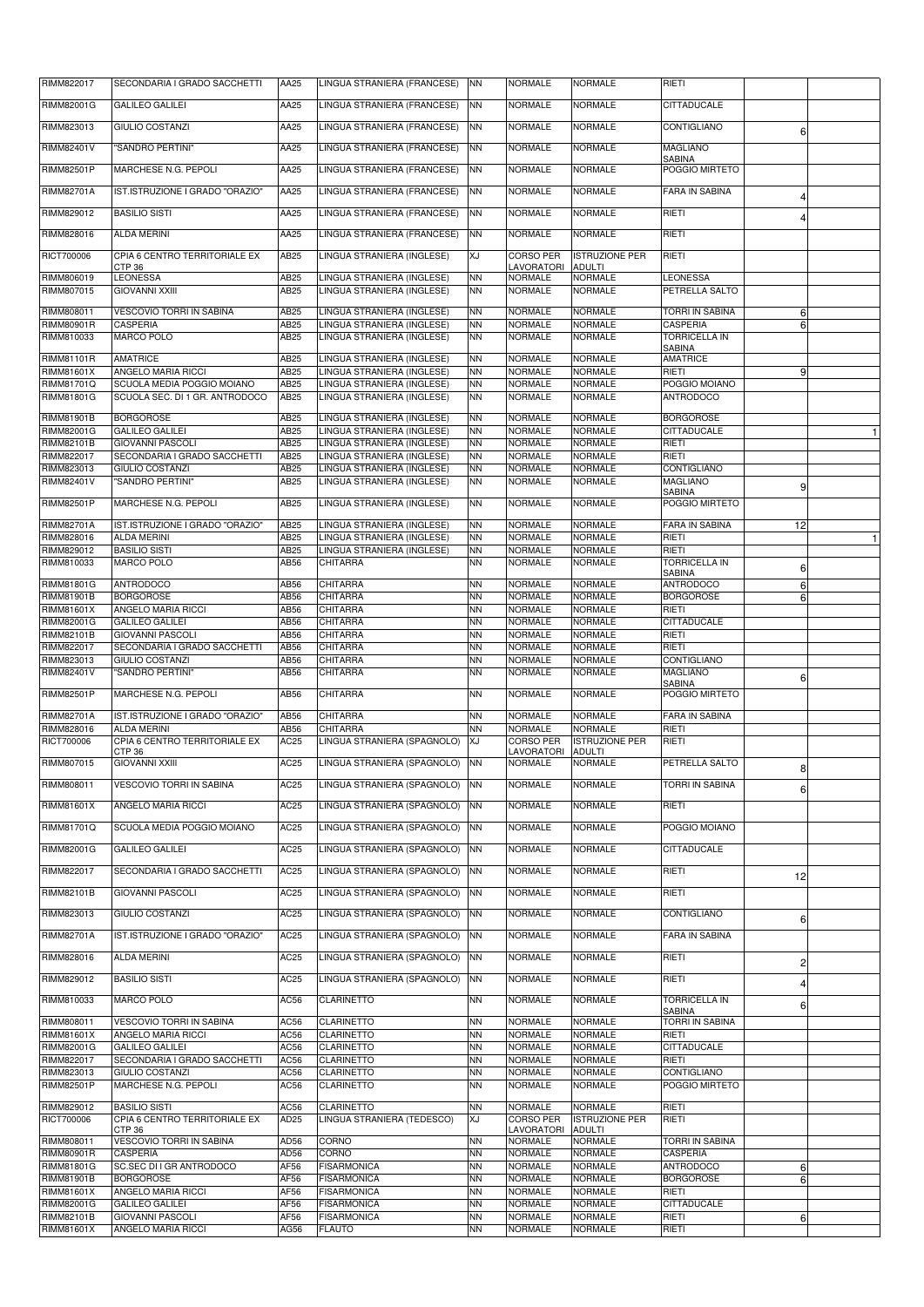| RIMM822017                      | SECONDARIA I GRADO SACCHETTI                                 | AA25                | LINGUA STRANIERA (FRANCESE) NN                           |                        | <b>NORMALE</b>                   | <b>NORMALE</b>                         | <b>RIETI</b>                              |                                  |  |
|---------------------------------|--------------------------------------------------------------|---------------------|----------------------------------------------------------|------------------------|----------------------------------|----------------------------------------|-------------------------------------------|----------------------------------|--|
| <b>RIMM82001G</b>               | <b>GALILEO GALILEI</b>                                       | AA25                | LINGUA STRANIERA (FRANCESE)                              | <b>NN</b>              | <b>NORMALE</b>                   | <b>NORMALE</b>                         | <b>CITTADUCALE</b>                        |                                  |  |
| RIMM823013                      | <b>GIULIO COSTANZI</b>                                       | AA25                | LINGUA STRANIERA (FRANCESE)                              | <b>NN</b>              | <b>NORMALE</b>                   | <b>NORMALE</b>                         | CONTIGLIANO                               | 6                                |  |
| <b>RIMM82401V</b>               | "SANDRO PERTINI"                                             | AA25                | LINGUA STRANIERA (FRANCESE)                              | <b>NN</b>              | <b>NORMALE</b>                   | <b>NORMALE</b>                         | <b>MAGLIANO</b>                           |                                  |  |
| <b>RIMM82501P</b>               | <b>MARCHESE N.G. PEPOLI</b>                                  | AA25                | LINGUA STRANIERA (FRANCESE)                              | <b>NN</b>              | <b>NORMALE</b>                   | <b>NORMALE</b>                         | <b>SABINA</b><br>POGGIO MIRTETO           |                                  |  |
|                                 |                                                              |                     |                                                          |                        |                                  |                                        |                                           |                                  |  |
| <b>RIMM82701A</b>               | IST.ISTRUZIONE I GRADO "ORAZIO"                              | AA25                | LINGUA STRANIERA (FRANCESE)                              | <b>NN</b>              | <b>NORMALE</b>                   | <b>NORMALE</b>                         | <b>FARA IN SABINA</b>                     |                                  |  |
| RIMM829012                      | <b>BASILIO SISTI</b>                                         | AA25                | LINGUA STRANIERA (FRANCESE)                              | <b>NN</b>              | <b>NORMALE</b>                   | <b>NORMALE</b>                         | RIETI                                     |                                  |  |
| RIMM828016                      | <b>ALDA MERINI</b>                                           | AA25                | LINGUA STRANIERA (FRANCESE)                              | <b>NN</b>              | <b>NORMALE</b>                   | <b>NORMALE</b>                         | RIETI                                     |                                  |  |
| RICT700006                      | CPIA 6 CENTRO TERRITORIALE EX<br>CTP <sub>36</sub>           | AB25                | LINGUA STRANIERA (INGLESE)                               | XJ                     | <b>CORSO PER</b><br>LAVORATORI   | <b>ISTRUZIONE PER</b><br><b>ADULTI</b> | RIETI                                     |                                  |  |
| RIMM806019                      | <b>LEONESSA</b>                                              | <b>AB25</b>         | LINGUA STRANIERA (INGLESE)                               | <b>NN</b>              | <b>NORMALE</b>                   | <b>NORMALE</b>                         | <b>LEONESSA</b>                           |                                  |  |
| RIMM807015                      | <b>GIOVANNI XXIII</b>                                        | AB25                | LINGUA STRANIERA (INGLESE)                               | <b>NN</b>              | <b>NORMALE</b>                   | <b>NORMALE</b>                         | <b>PETRELLA SALTO</b>                     |                                  |  |
| RIMM808011<br><b>RIMM80901R</b> | VESCOVIO TORRI IN SABINA<br><b>CASPERIA</b>                  | AB25<br>AB25        | LINGUA STRANIERA (INGLESE)<br>LINGUA STRANIERA (INGLESE) | <b>NN</b><br><b>NN</b> | <b>NORMALE</b><br><b>NORMALE</b> | <b>NORMALE</b><br><b>NORMALE</b>       | <b>TORRI IN SABINA</b><br><b>CASPERIA</b> | 6                                |  |
| RIMM810033                      | <b>MARCO POLO</b>                                            | AB25                | LINGUA STRANIERA (INGLESE)                               | <b>NN</b>              | <b>NORMALE</b>                   | <b>NORMALE</b>                         | <b>TORRICELLA IN</b>                      | 6 <sup>1</sup>                   |  |
| RIMM81101R                      | <b>AMATRICE</b>                                              | AB25                | LINGUA STRANIERA (INGLESE)                               | <b>NN</b>              | <b>NORMALE</b>                   | <b>NORMALE</b>                         | <b>SABINA</b><br><b>AMATRICE</b>          |                                  |  |
| RIMM81601X                      | ANGELO MARIA RICCI                                           | <b>AB25</b>         | LINGUA STRANIERA (INGLESE)                               | <b>NN</b>              | <b>NORMALE</b>                   | <b>NORMALE</b>                         | RIETI                                     | 9                                |  |
| <b>RIMM81701Q</b><br>RIMM81801G | SCUOLA MEDIA POGGIO MOIANO<br>SCUOLA SEC. DI 1 GR. ANTRODOCO | <b>AB25</b><br>AB25 | LINGUA STRANIERA (INGLESE)<br>LINGUA STRANIERA (INGLESE) | <b>NN</b><br><b>NN</b> | <b>NORMALE</b><br><b>NORMALE</b> | <b>NORMALE</b><br><b>NORMALE</b>       | POGGIO MOIANO<br><b>ANTRODOCO</b>         |                                  |  |
|                                 |                                                              |                     |                                                          |                        |                                  |                                        |                                           |                                  |  |
| <b>RIMM81901B</b><br>RIMM82001G | <b>BORGOROSE</b><br><b>GALILEO GALILEI</b>                   | AB25<br>AB25        | LINGUA STRANIERA (INGLESE)<br>LINGUA STRANIERA (INGLESE) | <b>NN</b><br><b>NN</b> | <b>NORMALE</b><br><b>NORMALE</b> | <b>NORMALE</b><br><b>NORMALE</b>       | <b>BORGOROSE</b><br><b>CITTADUCALE</b>    |                                  |  |
| <b>RIMM82101B</b>               | <b>GIOVANNI PASCOLI</b>                                      | AB25                | LINGUA STRANIERA (INGLESE)                               | <b>NN</b>              | <b>NORMALE</b>                   | <b>NORMALE</b>                         | RIETI                                     |                                  |  |
| RIMM822017<br>RIMM823013        | SECONDARIA I GRADO SACCHETTI<br><b>GIULIO COSTANZI</b>       | AB25<br>AB25        | LINGUA STRANIERA (INGLESE)<br>LINGUA STRANIERA (INGLESE) | <b>NN</b><br><b>NN</b> | <b>NORMALE</b><br><b>NORMALE</b> | <b>NORMALE</b><br><b>NORMALE</b>       | RIETI<br>CONTIGLIANO                      |                                  |  |
| <b>RIMM82401V</b>               | "SANDRO PERTINI"                                             | AB25                | LINGUA STRANIERA (INGLESE)                               | <b>NN</b>              | <b>NORMALE</b>                   | <b>NORMALE</b>                         | <b>MAGLIANO</b>                           | 9                                |  |
| RIMM82501P                      | MARCHESE N.G. PEPOLI                                         | AB25                | LINGUA STRANIERA (INGLESE)                               | <b>NN</b>              | <b>NORMALE</b>                   | <b>NORMALE</b>                         | <b>SABINA</b><br>POGGIO MIRTETO           |                                  |  |
| <b>RIMM82701A</b>               | IST.ISTRUZIONE I GRADO "ORAZIO"                              | AB25                | LINGUA STRANIERA (INGLESE)                               | <b>NN</b>              | <b>NORMALE</b>                   | <b>NORMALE</b>                         | <b>FARA IN SABINA</b>                     | 12                               |  |
| RIMM828016                      | <b>ALDA MERINI</b>                                           | AB25                | LINGUA STRANIERA (INGLESE)                               | <b>NN</b>              | <b>NORMALE</b>                   | <b>NORMALE</b>                         | RIETI                                     |                                  |  |
| RIMM829012<br>RIMM810033        | <b>BASILIO SISTI</b><br>MARCO POLO                           | AB25<br>AB56        | LINGUA STRANIERA (INGLESE)<br><b>CHITARRA</b>            | <b>NN</b><br><b>NN</b> | <b>NORMALE</b><br>NORMALE        | <b>NORMALE</b><br>NORMALE              | RIETI<br><b>TORRICELLA IN</b>             |                                  |  |
| <b>RIMM81801G</b>               | <b>ANTRODOCO</b>                                             | AB56                | CHITARRA                                                 | <b>NN</b>              | <b>NORMALE</b>                   | <b>NORMALE</b>                         | <b>SABINA</b><br><b>ANTRODOCO</b>         | 6                                |  |
| RIMM81901B                      | <b>BORGOROSE</b>                                             | <b>AB56</b>         | CHITARRA                                                 | <b>NN</b>              | <b>NORMALE</b>                   | <b>NORMALE</b>                         | <b>BORGOROSE</b>                          | 6 <sup>1</sup><br>6 <sup>1</sup> |  |
| RIMM81601X                      | ANGELO MARIA RICCI<br><b>GALILEO GALILEI</b>                 | AB56                | <b>CHITARRA</b>                                          | <b>NN</b>              | <b>NORMALE</b>                   | <b>NORMALE</b>                         | RIETI<br><b>CITTADUCALE</b>               |                                  |  |
| RIMM82001G<br>RIMM82101B        | <b>GIOVANNI PASCOLI</b>                                      | AB56<br>AB56        | <b>CHITARRA</b><br><b>CHITARRA</b>                       | <b>NN</b><br><b>NN</b> | <b>NORMALE</b><br><b>NORMALE</b> | <b>NORMALE</b><br><b>NORMALE</b>       | RIETI                                     |                                  |  |
| RIMM822017                      | SECONDARIA I GRADO SACCHETTI                                 | AB56                | <b>CHITARRA</b>                                          | <b>NN</b>              | <b>NORMALE</b>                   | <b>NORMALE</b>                         | RIETI                                     |                                  |  |
| RIMM823013<br><b>RIMM82401V</b> | <b>GIULIO COSTANZI</b><br>"SANDRO PERTINI"                   | AB56<br>AB56        | CHITARRA<br><b>CHITARRA</b>                              | <b>NN</b><br><b>NN</b> | <b>NORMALE</b><br><b>NORMALE</b> | <b>NORMALE</b><br><b>NORMALE</b>       | CONTIGLIANO<br><b>MAGLIANO</b>            | 6                                |  |
| RIMM82501P                      | MARCHESE N.G. PEPOLI                                         | AB56                | <b>CHITARRA</b>                                          | <b>NN</b>              | <b>NORMALE</b>                   | <b>NORMALE</b>                         | <b>SABINA</b><br>POGGIO MIRTETO           |                                  |  |
| <b>RIMM82701A</b>               | IST.ISTRUZIONE I GRADO "ORAZIO"                              | AB56                | <b>CHITARRA</b>                                          | <b>NN</b>              | <b>NORMALE</b>                   | <b>NORMALE</b>                         | <b>FARA IN SABINA</b>                     |                                  |  |
| RIMM828016                      | <b>ALDA MERINI</b>                                           | AB56                | CHITARRA                                                 | <b>NN</b>              | <b>NORMALE</b>                   | <b>NORMALE</b>                         | RIETI                                     |                                  |  |
| RICT700006                      | CPIA 6 CENTRO TERRITORIALE EX<br>CTP <sub>36</sub>           | AC25                | LINGUA STRANIERA (SPAGNOLO)                              | IXJ                    | <b>CORSO PER</b><br>LAVORATORI   | <b>ISTRUZIONE PER</b><br><b>ADULTI</b> | RIETI                                     |                                  |  |
| RIMM807015                      | <b>GIOVANNI XXIII</b>                                        | AC <sub>25</sub>    | LINGUA STRANIERA (SPAGNOLO)                              | <b>NN</b>              | <b>NORMALE</b>                   | NORMALE                                | PETRELLA SALTO                            | 8                                |  |
| RIMM808011                      | <b>VESCOVIO TORRI IN SABINA</b>                              | AC <sub>25</sub>    | LINGUA STRANIERA (SPAGNOLO)                              | <b>NN</b>              | <b>NORMALE</b>                   | <b>NORMALE</b>                         | TORRI IN SABINA                           | 6                                |  |
| <b>RIMM81601X</b>               | ANGELO MARIA RICCI                                           | AC <sub>25</sub>    | LINGUA STRANIERA (SPAGNOLO) NN                           |                        | <b>NORMALE</b>                   | <b>NORMALE</b>                         | RIETI                                     |                                  |  |
| <b>RIMM81701Q</b>               | SCUOLA MEDIA POGGIO MOIANO                                   | AC <sub>25</sub>    | LINGUA STRANIERA (SPAGNOLO) NN                           |                        | <b>NORMALE</b>                   | <b>NORMALE</b>                         | POGGIO MOIANO                             |                                  |  |
|                                 |                                                              |                     |                                                          |                        |                                  |                                        |                                           |                                  |  |
| RIMM82001G                      | <b>GALILEO GALILEI</b>                                       | AC <sub>25</sub>    | LINGUA STRANIERA (SPAGNOLO) NN                           |                        | <b>NORMALE</b>                   | <b>NORMALE</b>                         | <b>CITTADUCALE</b>                        |                                  |  |
| RIMM822017                      | SECONDARIA I GRADO SACCHETTI                                 | AC <sub>25</sub>    | LINGUA STRANIERA (SPAGNOLO) NN                           |                        | <b>NORMALE</b>                   | <b>NORMALE</b>                         | RIETI                                     | 12                               |  |
| RIMM82101B                      | <b>GIOVANNI PASCOLI</b>                                      | AC25                | LINGUA STRANIERA (SPAGNOLO) NN                           |                        | <b>NORMALE</b>                   | <b>NORMALE</b>                         | RIETI                                     |                                  |  |
| RIMM823013                      | <b>GIULIO COSTANZI</b>                                       | AC <sub>25</sub>    | LINGUA STRANIERA (SPAGNOLO)                              | <b>NN</b>              | <b>NORMALE</b>                   | <b>NORMALE</b>                         | CONTIGLIANO                               | 6                                |  |
| <b>RIMM82701A</b>               | IST.ISTRUZIONE I GRADO "ORAZIO"                              | AC25                | LINGUA STRANIERA (SPAGNOLO)                              | <b>NN</b>              | <b>NORMALE</b>                   | <b>NORMALE</b>                         | <b>FARA IN SABINA</b>                     |                                  |  |
| RIMM828016                      | <b>ALDA MERINI</b>                                           | AC <sub>25</sub>    | LINGUA STRANIERA (SPAGNOLO)                              | <b>NN</b>              | <b>NORMALE</b>                   | <b>NORMALE</b>                         | RIETI                                     | 2                                |  |
| RIMM829012                      | <b>BASILIO SISTI</b>                                         | AC <sub>25</sub>    | LINGUA STRANIERA (SPAGNOLO) NN                           |                        | <b>NORMALE</b>                   | <b>NORMALE</b>                         | RIETI                                     |                                  |  |
|                                 |                                                              |                     |                                                          |                        |                                  |                                        |                                           |                                  |  |
| RIMM810033                      | MARCO POLO                                                   | AC56                | CLARINETTO                                               | <b>NN</b>              | <b>NORMALE</b>                   | <b>NORMALE</b>                         | <b>TORRICELLA IN</b><br><b>SABINA</b>     | 6                                |  |
| RIMM808011<br>RIMM81601X        | VESCOVIO TORRI IN SABINA<br>ANGELO MARIA RICCI               | AC56<br>AC56        | <b>CLARINETTO</b><br><b>CLARINETTO</b>                   | <b>NN</b><br><b>NN</b> | <b>NORMALE</b><br><b>NORMALE</b> | <b>NORMALE</b><br><b>NORMALE</b>       | <b>TORRI IN SABINA</b><br>RIETI           |                                  |  |
| <b>RIMM82001G</b>               | <b>GALILEO GALILEI</b>                                       | AC56                | <b>CLARINETTO</b>                                        | <b>NN</b>              | <b>NORMALE</b>                   | <b>NORMALE</b>                         | <b>CITTADUCALE</b>                        |                                  |  |
| RIMM822017<br>RIMM823013        | SECONDARIA I GRADO SACCHETTI<br><b>GIULIO COSTANZI</b>       | AC56<br>AC56        | <b>CLARINETTO</b><br><b>CLARINETTO</b>                   | <b>NN</b><br><b>NN</b> | <b>NORMALE</b><br><b>NORMALE</b> | <b>NORMALE</b><br><b>NORMALE</b>       | RIETI<br>CONTIGLIANO                      |                                  |  |
| <b>RIMM82501P</b>               | MARCHESE N.G. PEPOLI                                         | AC56                | CLARINETTO                                               | <b>NN</b>              | <b>NORMALE</b>                   | <b>NORMALE</b>                         | <b>POGGIO MIRTETO</b>                     |                                  |  |
| RIMM829012                      | <b>BASILIO SISTI</b>                                         | AC56                | <b>CLARINETTO</b>                                        | <b>NN</b>              | <b>NORMALE</b>                   | <b>NORMALE</b>                         | RIETI                                     |                                  |  |
| RICT700006                      | CPIA 6 CENTRO TERRITORIALE EX<br>CTP 36                      | AD25                | LINGUA STRANIERA (TEDESCO)                               | XJ                     | <b>CORSO PER</b><br>LAVORATORI   | <b>ISTRUZIONE PER</b><br><b>ADULTI</b> | RIETI                                     |                                  |  |
| RIMM808011                      | <b>VESCOVIO TORRI IN SABINA</b>                              | AD56                | CORNO                                                    | <b>NN</b>              | <b>NORMALE</b>                   | <b>NORMALE</b>                         | <b>TORRI IN SABINA</b>                    |                                  |  |
| RIMM80901R<br><b>RIMM81801G</b> | <b>CASPERIA</b><br>SC.SEC DI I GR ANTRODOCO                  | AD56<br>AF56        | <b>CORNO</b><br><b>FISARMONICA</b>                       | <b>NN</b><br><b>NN</b> | <b>NORMALE</b><br><b>NORMALE</b> | <b>NORMALE</b><br><b>NORMALE</b>       | <b>CASPERIA</b><br><b>ANTRODOCO</b>       | 6                                |  |
| <b>RIMM81901B</b>               | <b>BORGOROSE</b>                                             | AF56                | <b>FISARMONICA</b>                                       | <b>NN</b>              | <b>NORMALE</b>                   | <b>NORMALE</b>                         | <b>BORGOROSE</b>                          | $6 \mid$                         |  |
| RIMM81601X<br><b>RIMM82001G</b> | <b>ANGELO MARIA RICCI</b><br><b>GALILEO GALILEI</b>          | AF56<br>AF56        | <b>FISARMONICA</b><br><b>FISARMONICA</b>                 | <b>NN</b><br><b>NN</b> | <b>NORMALE</b><br><b>NORMALE</b> | <b>NORMALE</b><br><b>NORMALE</b>       | RIETI<br><b>CITTADUCALE</b>               |                                  |  |
| <b>RIMM82101B</b>               | <b>GIOVANNI PASCOLI</b>                                      | AF56                | <b>FISARMONICA</b>                                       | <b>NN</b>              | <b>NORMALE</b>                   | <b>NORMALE</b>                         | RIETI                                     | 6                                |  |
| RIMM81601X                      | ANGELO MARIA RICCI                                           | AG56                | <b>FLAUTO</b>                                            | <b>NN</b>              | <b>NORMALE</b>                   | <b>NORMALE</b>                         | RIETI                                     |                                  |  |